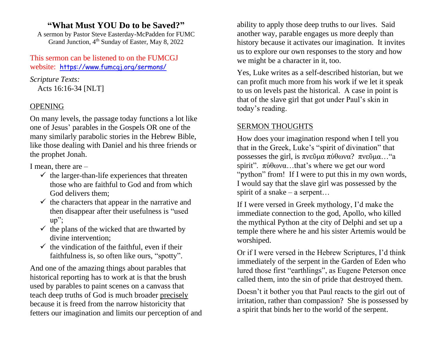# **"What Must YOU Do to be Saved?"**

A sermon by Pastor Steve Easterday-McPadden for FUMC Grand Junction, 4<sup>th</sup> Sunday of Easter, May 8, 2022

This sermon can be listened to on the FUMCGJ website: https://www.fumcgj.org/sermons/

*Scripture Texts:* Acts 16:16-34 [NLT]

## OPENING

On many levels, the passage today functions a lot like one of Jesus' parables in the Gospels OR one of the many similarly parabolic stories in the Hebrew Bible, like those dealing with Daniel and his three friends or the prophet Jonah.

I mean, there are –

- $\checkmark$  the larger-than-life experiences that threaten those who are faithful to God and from which God delivers them;
- $\checkmark$  the characters that appear in the narrative and then disappear after their usefulness is "used up";
- $\checkmark$  the plans of the wicked that are thwarted by divine intervention;
- $\checkmark$  the vindication of the faithful, even if their faithfulness is, so often like ours, "spotty".

And one of the amazing things about parables that historical reporting has to work at is that the brush used by parables to paint scenes on a canvass that teach deep truths of God is much broader precisely because it is freed from the narrow historicity that fetters our imagination and limits our perception of and ability to apply those deep truths to our lives. Said another way, parable engages us more deeply than history because it activates our imagination. It invites us to explore our own responses to the story and how we might be a character in it, too.

Yes, Luke writes as a self-described historian, but we can profit much more from his work if we let it speak to us on levels past the historical. A case in point is that of the slave girl that got under Paul's skin in today's reading.

### SERMON THOUGHTS

How does your imagination respond when I tell you that in the Greek, Luke's "spirit of divination" that possesses the girl, is πνεῦμα πύθωνα? πνεῦμα…"a spirit". πύθωνα…that's where we get our word "python" from! If I were to put this in my own words, I would say that the slave girl was possessed by the spirit of a snake – a serpent...

If I were versed in Greek mythology, I'd make the immediate connection to the god, Apollo, who killed the mythical Python at the city of Delphi and set up a temple there where he and his sister Artemis would be worshiped.

Or if I were versed in the Hebrew Scriptures, I'd think immediately of the serpent in the Garden of Eden who lured those first "earthlings", as Eugene Peterson once called them, into the sin of pride that destroyed them.

Doesn't it bother you that Paul reacts to the girl out of irritation, rather than compassion? She is possessed by a spirit that binds her to the world of the serpent.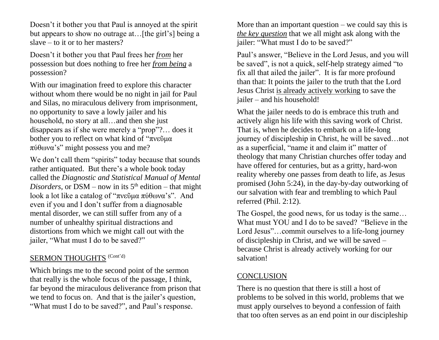Doesn't it bother you that Paul is annoyed at the spirit but appears to show no outrage at…[the girl's] being a slave – to it or to her masters?

Doesn't it bother you that Paul frees her *from* her possession but does nothing to free her *from being* a possession?

With our imagination freed to explore this character without whom there would be no night in jail for Paul and Silas, no miraculous delivery from imprisonment, no opportunity to save a lowly jailer and his household, no story at all…and then she just disappears as if she were merely a "prop"?… does it bother you to reflect on what kind of "πνεῦμα πύθωνα's" might possess you and me?

We don't call them "spirits" today because that sounds rather antiquated. But there's a whole book today called the *Diagnostic and Statistical Manual of Mental Disorders*, or DSM – now in its  $5<sup>th</sup>$  edition – that might look a lot like a catalog of "πνεῦμα πύθωνα's". And even if you and I don't suffer from a diagnosable mental disorder, we can still suffer from any of a number of unhealthy spiritual distractions and distortions from which we might call out with the jailer, "What must I do to be saved?"

#### SERMON THOUGHTS (Cont'd)

Which brings me to the second point of the sermon that really is the whole focus of the passage, I think, far beyond the miraculous deliverance from prison that we tend to focus on. And that is the jailer's question, "What must I do to be saved?", and Paul's response.

More than an important question  $-$  we could say this is *the key question* that we all might ask along with the jailer: "What must I do to be saved?"

Paul's answer, "Believe in the Lord Jesus, and you will be saved", is not a quick, self-help strategy aimed "to fix all that ailed the jailer". It is far more profound than that: It points the jailer to the truth that the Lord Jesus Christ is already actively working to save the jailer – and his household!

What the jailer needs to do is embrace this truth and actively align his life with this saving work of Christ. That is, when he decides to embark on a life-long journey of discipleship in Christ, he will be saved…not as a superficial, "name it and claim it" matter of theology that many Christian churches offer today and have offered for centuries, but as a gritty, hard-won reality whereby one passes from death to life, as Jesus promised (John 5:24), in the day-by-day outworking of our salvation with fear and trembling to which Paul referred (Phil. 2:12).

The Gospel, the good news, for us today is the same… What must YOU and I do to be saved? "Believe in the Lord Jesus"…commit ourselves to a life-long journey of discipleship in Christ, and we will be saved – because Christ is already actively working for our salvation!

#### **CONCLUSION**

There is no question that there is still a host of problems to be solved in this world, problems that we must apply ourselves to beyond a confession of faith that too often serves as an end point in our discipleship